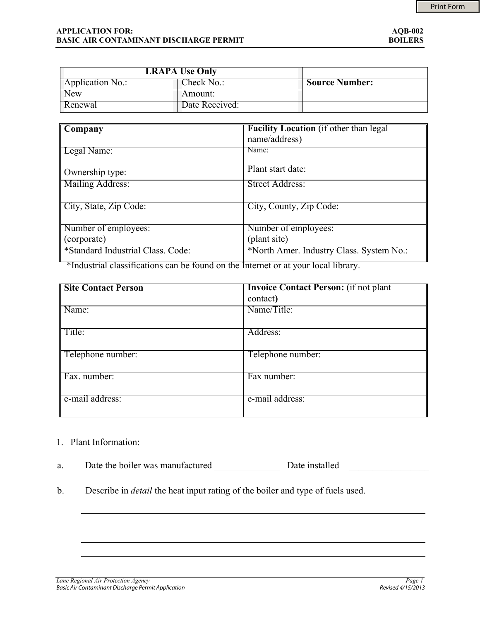| <b>LRAPA Use Only</b> |                |                       |
|-----------------------|----------------|-----------------------|
| Application No.:      | ∠heck No∴      | <b>Source Number:</b> |
| <b>New</b>            | Amount:        |                       |
| Renewal               | Date Received: |                       |

| Company                           | <b>Facility Location</b> (if other than legal) |  |  |  |
|-----------------------------------|------------------------------------------------|--|--|--|
|                                   | name/address)                                  |  |  |  |
| Legal Name:                       | Name:                                          |  |  |  |
|                                   |                                                |  |  |  |
| Ownership type:                   | Plant start date:                              |  |  |  |
| Mailing Address:                  | Street Address:                                |  |  |  |
|                                   |                                                |  |  |  |
| City, State, Zip Code:            | City, County, Zip Code:                        |  |  |  |
|                                   |                                                |  |  |  |
| Number of employees:              | Number of employees:                           |  |  |  |
|                                   |                                                |  |  |  |
| (corporate)                       | (plant site)                                   |  |  |  |
| *Standard Industrial Class. Code: | *North Amer. Industry Class. System No.:       |  |  |  |
|                                   |                                                |  |  |  |

\*Industrial classifications can be found on the Internet or at your local library.

| <b>Site Contact Person</b> | <b>Invoice Contact Person:</b> (if not plant)<br>contact) |  |  |
|----------------------------|-----------------------------------------------------------|--|--|
| Name:                      | Name/Title:                                               |  |  |
| Title:                     | Address:                                                  |  |  |
| Telephone number:          | Telephone number:                                         |  |  |
| Fax. number:               | Fax number:                                               |  |  |
| e-mail address:            | e-mail address:                                           |  |  |

## 1. Plant Information:

- a. Date the boiler was manufactured Date installed  $\mathcal{L}=\mathcal{L}^{\mathcal{L}}$  , we have the set of the set of the set of the set of the set of the set of the set of the set of the set of the set of the set of the set of the set of the set of the set of the set of the set of th
- b. Describe in *detail* the heat input rating of the boiler and type of fuels used.